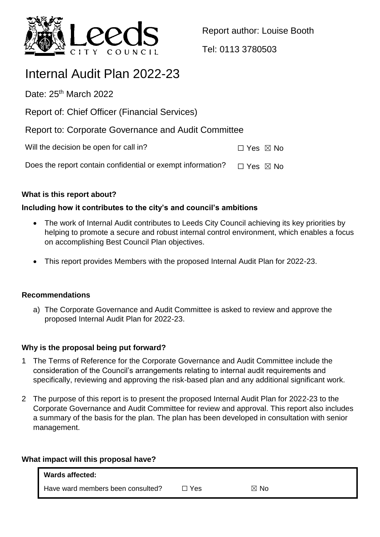

Report author: Louise Booth

Tel: 0113 3780503

# Internal Audit Plan 2022-23

Date:  $25<sup>th</sup>$  March 2022

Report of: Chief Officer (Financial Services)

Report to: Corporate Governance and Audit Committee

Will the decision be open for call in?  $\Box$  Yes  $\boxtimes$  No

Does the report contain confidential or exempt information?  $\Box$  Yes  $\boxtimes$  No

# **What is this report about?**

# **Including how it contributes to the city's and council's ambitions**

- The work of Internal Audit contributes to Leeds City Council achieving its key priorities by helping to promote a secure and robust internal control environment, which enables a focus on accomplishing Best Council Plan objectives.
- This report provides Members with the proposed Internal Audit Plan for 2022-23.

# **Recommendations**

a) The Corporate Governance and Audit Committee is asked to review and approve the proposed Internal Audit Plan for 2022-23.

# **Why is the proposal being put forward?**

- 1 The Terms of Reference for the Corporate Governance and Audit Committee include the consideration of the Council's arrangements relating to internal audit requirements and specifically, reviewing and approving the risk-based plan and any additional significant work.
- 2 The purpose of this report is to present the proposed Internal Audit Plan for 2022-23 to the Corporate Governance and Audit Committee for review and approval. This report also includes a summary of the basis for the plan. The plan has been developed in consultation with senior management.

## **What impact will this proposal have?**

| <b>Wards affected:</b>            |     |           |  |
|-----------------------------------|-----|-----------|--|
| Have ward members been consulted? | Yes | . No<br>M |  |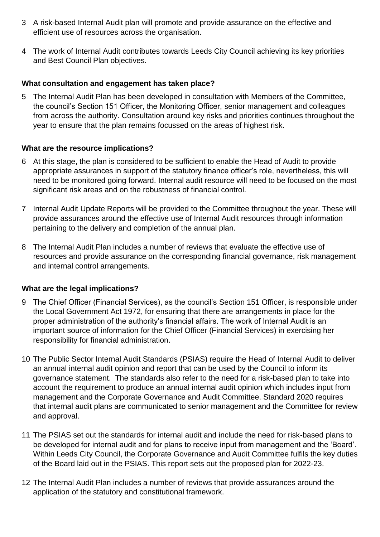- 3 A risk-based Internal Audit plan will promote and provide assurance on the effective and efficient use of resources across the organisation.
- 4 The work of Internal Audit contributes towards Leeds City Council achieving its key priorities and Best Council Plan objectives.

## **What consultation and engagement has taken place?**

5 The Internal Audit Plan has been developed in consultation with Members of the Committee, the council's Section 151 Officer, the Monitoring Officer, senior management and colleagues from across the authority. Consultation around key risks and priorities continues throughout the year to ensure that the plan remains focussed on the areas of highest risk.

## **What are the resource implications?**

- 6 At this stage, the plan is considered to be sufficient to enable the Head of Audit to provide appropriate assurances in support of the statutory finance officer's role, nevertheless, this will need to be monitored going forward. Internal audit resource will need to be focused on the most significant risk areas and on the robustness of financial control.
- 7 Internal Audit Update Reports will be provided to the Committee throughout the year. These will provide assurances around the effective use of Internal Audit resources through information pertaining to the delivery and completion of the annual plan.
- 8 The Internal Audit Plan includes a number of reviews that evaluate the effective use of resources and provide assurance on the corresponding financial governance, risk management and internal control arrangements.

### **What are the legal implications?**

- 9 The Chief Officer (Financial Services), as the council's Section 151 Officer, is responsible under the Local Government Act 1972, for ensuring that there are arrangements in place for the proper administration of the authority's financial affairs. The work of Internal Audit is an important source of information for the Chief Officer (Financial Services) in exercising her responsibility for financial administration.
- 10 The Public Sector Internal Audit Standards (PSIAS) require the Head of Internal Audit to deliver an annual internal audit opinion and report that can be used by the Council to inform its governance statement. The standards also refer to the need for a risk-based plan to take into account the requirement to produce an annual internal audit opinion which includes input from management and the Corporate Governance and Audit Committee. Standard 2020 requires that internal audit plans are communicated to senior management and the Committee for review and approval.
- 11 The PSIAS set out the standards for internal audit and include the need for risk-based plans to be developed for internal audit and for plans to receive input from management and the 'Board'. Within Leeds City Council, the Corporate Governance and Audit Committee fulfils the key duties of the Board laid out in the PSIAS. This report sets out the proposed plan for 2022-23.
- 12 The Internal Audit Plan includes a number of reviews that provide assurances around the application of the statutory and constitutional framework.